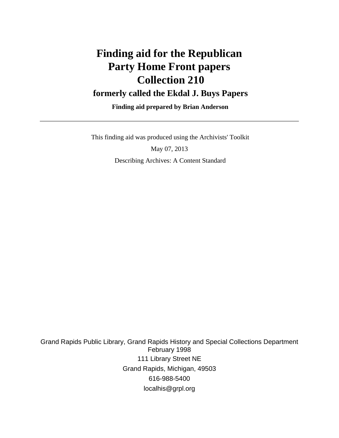# **Finding aid for the Republican Party Home Front papers Collection 210 formerly called the Ekdal J. Buys Papers**

 **Finding aid prepared by Brian Anderson**

This finding aid was produced using the Archivists' Toolkit

May 07, 2013 Describing Archives: A Content Standard

Grand Rapids Public Library, Grand Rapids History and Special Collections Department February 1998 111 Library Street NE Grand Rapids, Michigan, 49503 616-988-5400 localhis@grpl.org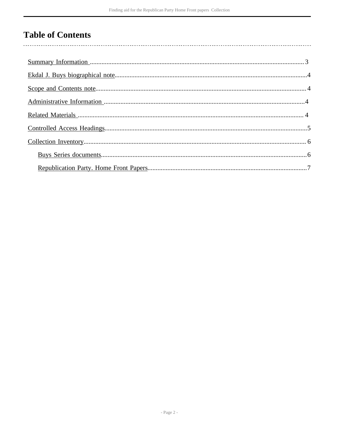# **Table of Contents**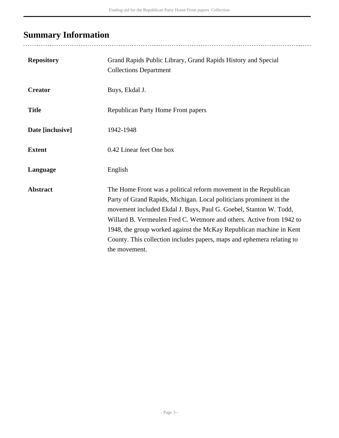# <span id="page-2-0"></span>**Summary Information**

| <b>Repository</b> | Grand Rapids Public Library, Grand Rapids History and Special<br><b>Collections Department</b>                                                                                                                                                                                                                                                                                                                                                         |
|-------------------|--------------------------------------------------------------------------------------------------------------------------------------------------------------------------------------------------------------------------------------------------------------------------------------------------------------------------------------------------------------------------------------------------------------------------------------------------------|
| <b>Creator</b>    | Buys, Ekdal J.                                                                                                                                                                                                                                                                                                                                                                                                                                         |
| <b>Title</b>      | <b>Republican Party Home Front papers</b>                                                                                                                                                                                                                                                                                                                                                                                                              |
| Date [inclusive]  | 1942-1948                                                                                                                                                                                                                                                                                                                                                                                                                                              |
| <b>Extent</b>     | 0.42 Linear feet One box                                                                                                                                                                                                                                                                                                                                                                                                                               |
| Language          | English                                                                                                                                                                                                                                                                                                                                                                                                                                                |
| <b>Abstract</b>   | The Home Front was a political reform movement in the Republican<br>Party of Grand Rapids, Michigan. Local politicians prominent in the<br>movement included Ekdal J. Buys, Paul G. Goebel, Stanton W. Todd,<br>Willard B. Vermeulen Fred C. Wetmore and others. Active from 1942 to<br>1948, the group worked against the McKay Republican machine in Kent<br>County. This collection includes papers, maps and ephemera relating to<br>the movement. |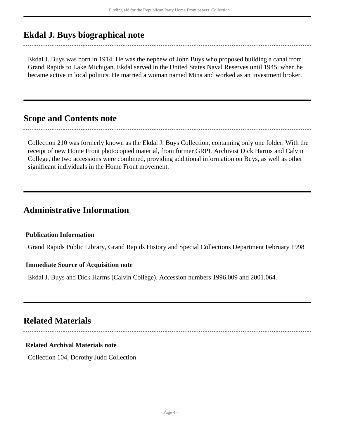# <span id="page-3-0"></span>**Ekdal J. Buys biographical note**

Ekdal J. Buys was born in 1914. He was the nephew of John Buys who proposed building a canal from Grand Rapids to Lake Michigan. Ekdal served in the United States Naval Reserves until 1945, when he became active in local politics. He married a woman named Mina and worked as an investment broker.

### <span id="page-3-1"></span>**Scope and Contents note**

Collection 210 was formerly known as the Ekdal J. Buys Collection, containing only one folder. With the receipt of new Home Front photocopied material, from former GRPL Archivist Dick Harms and Calvin College, the two accessions were combined, providing additional information on Buys, as well as other significant individuals in the Home Front movement.

## <span id="page-3-2"></span>**Administrative Information**

### **Publication Information**

Grand Rapids Public Library, Grand Rapids History and Special Collections Department February 1998

### **Immediate Source of Acquisition note**

Ekdal J. Buys and Dick Harms (Calvin College). Accession numbers 1996.009 and 2001.064.

## <span id="page-3-3"></span>**Related Materials**

### **Related Archival Materials note**

Collection 104, Dorothy Judd Collection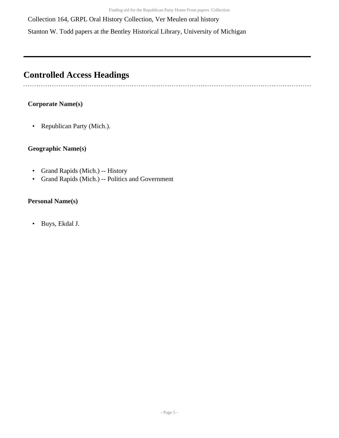Collection 164, GRPL Oral History Collection, Ver Meulen oral history

Stanton W. Todd papers at the Bentley Historical Library, University of Michigan

# <span id="page-4-0"></span>**Controlled Access Headings**

### **Corporate Name(s)**

. . . . . . . . . . . . . . . . . . . .

• Republican Party (Mich.).

### **Geographic Name(s)**

- Grand Rapids (Mich.) -- History
- Grand Rapids (Mich.) -- Politics and Government

### **Personal Name(s)**

• Buys, Ekdal J.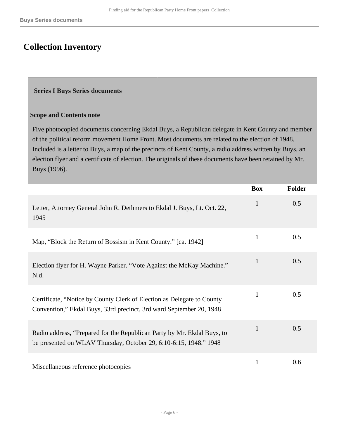# <span id="page-5-0"></span>**Collection Inventory**

### <span id="page-5-1"></span> **Series I Buys Series documents**

#### **Scope and Contents note**

Five photocopied documents concerning Ekdal Buys, a Republican delegate in Kent County and member of the political reform movement Home Front. Most documents are related to the election of 1948. Included is a letter to Buys, a map of the precincts of Kent County, a radio address written by Buys, an election flyer and a certificate of election. The originals of these documents have been retained by Mr. Buys (1996).

|                                                                                                                                               | <b>Box</b>   | <b>Folder</b> |
|-----------------------------------------------------------------------------------------------------------------------------------------------|--------------|---------------|
| Letter, Attorney General John R. Dethmers to Ekdal J. Buys, Lt. Oct. 22,<br>1945                                                              | 1            | 0.5           |
| Map, "Block the Return of Bossism in Kent County." [ca. 1942]                                                                                 | 1            | 0.5           |
| Election flyer for H. Wayne Parker. "Vote Against the McKay Machine."<br>N.d.                                                                 | 1            | 0.5           |
| Certificate, "Notice by County Clerk of Election as Delegate to County<br>Convention," Ekdal Buys, 33rd precinct, 3rd ward September 20, 1948 | $\mathbf{1}$ | 0.5           |
| Radio address, "Prepared for the Republican Party by Mr. Ekdal Buys, to<br>be presented on WLAV Thursday, October 29, 6:10-6:15, 1948." 1948  | $\mathbf{1}$ | 0.5           |
| Miscellaneous reference photocopies                                                                                                           | 1            | 0.6           |